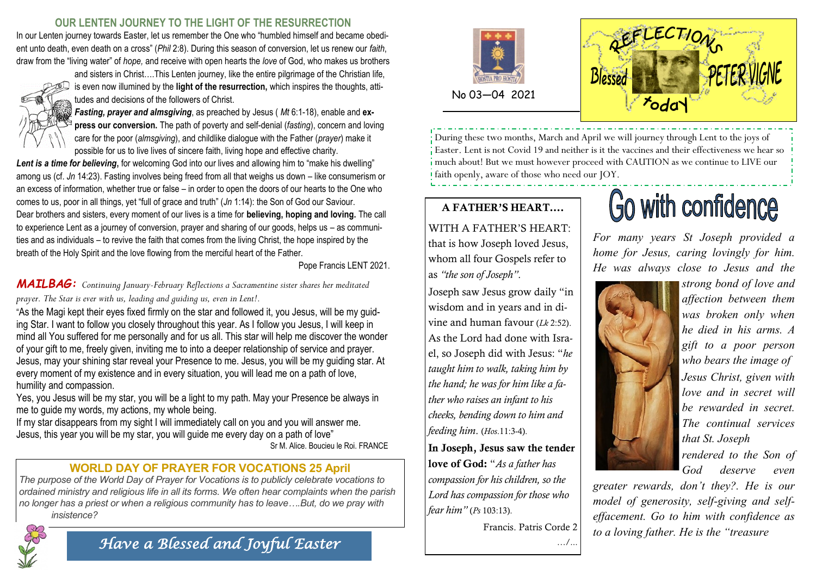## **OUR LENTEN JOURNEY TO THE LIGHT OF THE RESURRECTION**

In our Lenten journey towards Easter, let us remember the One who "humbled himself and became obedient unto death, even death on a cross" (*Phil* 2:8). During this season of conversion, let us renew our *faith*, draw from the "living water" of *hope,* and receive with open hearts the *love* of God, who makes us brothers



and sisters in Christ….This Lenten journey, like the entire pilgrimage of the Christian life, is even now illumined by the **light of the resurrection,** which inspires the thoughts, attitudes and decisions of the followers of Christ.

*Fasting, prayer and almsgiving*, as preached by Jesus ( *Mt* 6:1-18), enable and **express our conversion.** The path of poverty and self-denial (*fasting*), concern and loving care for the poor (*almsgiving*), and childlike dialogue with the Father (*prayer*) make it possible for us to live lives of sincere faith, living hope and effective charity.

Lent is a time for believing, for welcoming God into our lives and allowing him to "make his dwelling" among us (cf. *Jn* 14:23). Fasting involves being freed from all that weighs us down – like consumerism or an excess of information, whether true or false – in order to open the doors of our hearts to the One who comes to us, poor in all things, yet "full of grace and truth" (*Jn* 1:14): the Son of God our Saviour. Dear brothers and sisters, every moment of our lives is a time for **believing, hoping and loving.** The call to experience Lent as a journey of conversion, prayer and sharing of our goods, helps us – as communities and as individuals – to revive the faith that comes from the living Christ, the hope inspired by the breath of the Holy Spirit and the love flowing from the merciful heart of the Father.

Pope Francis LENT 2021.

*MAILBAG: Continuing January-February Reflections a Sacramentine sister shares her meditated prayer. The Star is ever with us, leading and guiding us, even in Lent!.* 

"As the Magi kept their eyes fixed firmly on the star and followed it, you Jesus, will be my guiding Star. I want to follow you closely throughout this year. As I follow you Jesus, I will keep in mind all You suffered for me personally and for us all. This star will help me discover the wonder of your gift to me, freely given, inviting me to into a deeper relationship of service and prayer. Jesus, may your shining star reveal your Presence to me. Jesus, you will be my guiding star. At every moment of my existence and in every situation, you will lead me on a path of love, humility and compassion.

Yes, you Jesus will be my star, you will be a light to my path. May your Presence be always in me to guide my words, my actions, my whole being.

If my star disappears from my sight I will immediately call on you and you will answer me. Jesus, this year you will be my star, you will guide me every day on a path of love" Sr M. Alice. Boucieu le Roi. FRANCE

# **WORLD DAY OF PRAYER FOR VOCATIONS 25 April**

*The purpose of the World Day of Prayer for Vocations is to publicly celebrate vocations to ordained ministry and religious life in all its forms. We often hear complaints when the parish no longer has a priest or when a religious community has to leave….But, do we pray with insistence?*



*Have a Blessed and Joyful Easter* 





During these two months, March and April we will journey through Lent to the joys of Easter. Lent is not Covid 19 and neither is it the vaccines and their effectiveness we hear so much about! But we must however proceed with CAUTION as we continue to LIVE our faith openly, aware of those who need our JOY.

# A FATHER'S HEART….

WITH A FATHER'S HEART: that is how Joseph loved Jesus, whom all four Gospels refer to as *"the son of Joseph"*.

Joseph saw Jesus grow daily "in wisdom and in years and in divine and human favour (*Lk* 2:52). As the Lord had done with Israel, so Joseph did with Jesus: "*he taught him to walk, taking him by the hand; he was for him like a father who raises an infant to his cheeks, bending down to him and feeding him*. (*Hos*.11:3-4).

In Joseph, Jesus saw the tender love of God: "*As a father has compassion for his children, so the Lord has compassion for those who fear him"* (*Ps* 103:13).

Francis. Patris Corde 2

…/...

# Go with confidence

*For many years St Joseph provided a home for Jesus, caring lovingly for him. He was always close to Jesus and the* 



*strong bond of love and affection between them was broken only when he died in his arms. A gift to a poor person who bears the image of Jesus Christ, given with love and in secret will be rewarded in secret. The continual services that St. Joseph* 

*rendered to the Son of God deserve even* 

*greater rewards, don't they?. He is our model of generosity, self-giving and selfeffacement. Go to him with confidence as to a loving father. He is the "treasure*